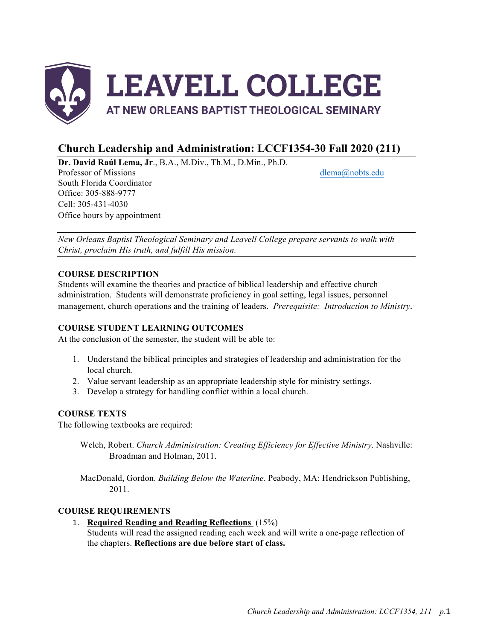

# **Church Leadership and Administration: LCCF1354-30 Fall 2020 (211)**

**Dr. David Raúl Lema, Jr**., B.A., M.Div., Th.M., D.Min., Ph.D.

Professor of Missions dlema@nobts.edu South Florida Coordinator Office: 305-888-9777 Cell: 305-431-4030 Office hours by appointment

*New Orleans Baptist Theological Seminary and Leavell College prepare servants to walk with Christ, proclaim His truth, and fulfill His mission.*

## **COURSE DESCRIPTION**

Students will examine the theories and practice of biblical leadership and effective church administration. Students will demonstrate proficiency in goal setting, legal issues, personnel management, church operations and the training of leaders. *Prerequisite: Introduction to Ministry.*

## **COURSE STUDENT LEARNING OUTCOMES**

At the conclusion of the semester, the student will be able to:

- 1. Understand the biblical principles and strategies of leadership and administration for the local church.
- 2. Value servant leadership as an appropriate leadership style for ministry settings.
- 3. Develop a strategy for handling conflict within a local church.

## **COURSE TEXTS**

The following textbooks are required:

Welch, Robert. *Church Administration: Creating Efficiency for Effective Ministry*. Nashville: Broadman and Holman, 2011.

MacDonald, Gordon. *Building Below the Waterline.* Peabody, MA: Hendrickson Publishing, 2011.

## **COURSE REQUIREMENTS**

1. **Required Reading and Reading Reflections** (15%)

Students will read the assigned reading each week and will write a one-page reflection of the chapters. **Reflections are due before start of class.**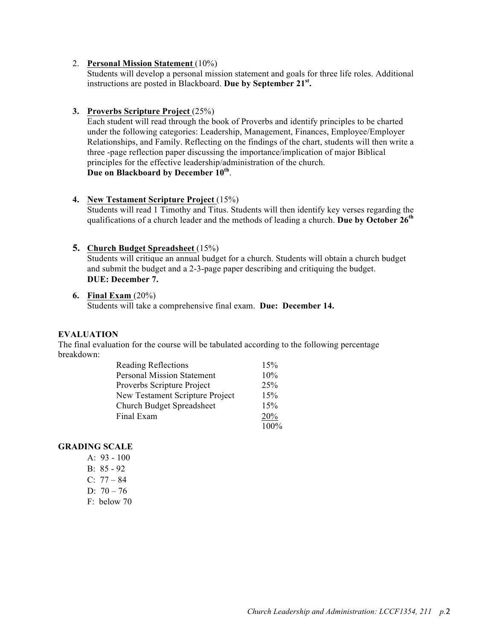#### 2. **Personal Mission Statement** (10%)

Students will develop a personal mission statement and goals for three life roles. Additional instructions are posted in Blackboard. **Due by September 21st.**

#### **3. Proverbs Scripture Project** (25%)

Each student will read through the book of Proverbs and identify principles to be charted under the following categories: Leadership, Management, Finances, Employee/Employer Relationships, and Family. Reflecting on the findings of the chart, students will then write a three -page reflection paper discussing the importance/implication of major Biblical principles for the effective leadership/administration of the church. **Due on Blackboard by December 10th**.

#### **4. New Testament Scripture Project** (15%)

Students will read 1 Timothy and Titus. Students will then identify key verses regarding the qualifications of a church leader and the methods of leading a church. **Due by October 26th** 

#### **5. Church Budget Spreadsheet** (15%)

Students will critique an annual budget for a church. Students will obtain a church budget and submit the budget and a 2-3-page paper describing and critiquing the budget. **DUE: December 7.** 

#### **6. Final Exam** (20%) Students will take a comprehensive final exam. **Due: December 14.**

#### **EVALUATION**

The final evaluation for the course will be tabulated according to the following percentage breakdown:

| <b>Reading Reflections</b>        | 15%  |
|-----------------------------------|------|
| <b>Personal Mission Statement</b> | 10%  |
| Proverbs Scripture Project        | 25%  |
| New Testament Scripture Project   | 15%  |
| <b>Church Budget Spreadsheet</b>  | 15%  |
| Final Exam                        | 20%  |
|                                   | 100% |

#### **GRADING SCALE**

A: 93 - 100 B: 85 - 92 C:  $77 - 84$ D:  $70 - 76$ F: below 70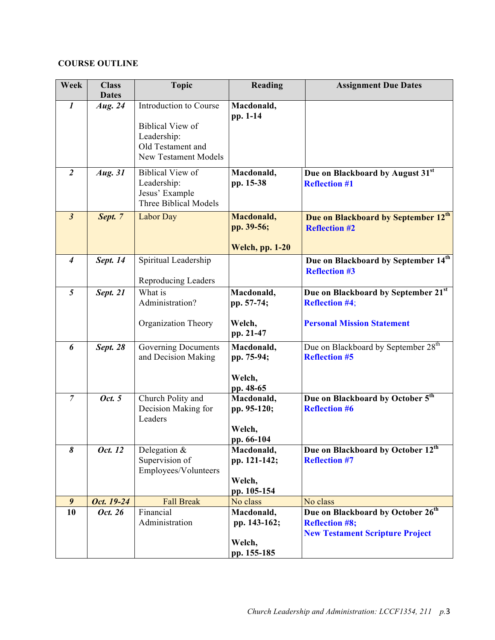## **COURSE OUTLINE**

| Week             | <b>Class</b><br><b>Dates</b> | <b>Topic</b>                                                                                                         | Reading                                             | <b>Assignment Due Dates</b>                                                                                      |
|------------------|------------------------------|----------------------------------------------------------------------------------------------------------------------|-----------------------------------------------------|------------------------------------------------------------------------------------------------------------------|
| $\boldsymbol{l}$ | Aug. 24                      | Introduction to Course<br><b>Biblical View of</b><br>Leadership:<br>Old Testament and<br><b>New Testament Models</b> | Macdonald,<br>pp. 1-14                              |                                                                                                                  |
| $\overline{2}$   | Aug. 31                      | <b>Biblical View of</b><br>Leadership:<br>Jesus' Example<br><b>Three Biblical Models</b>                             | Macdonald,<br>pp. 15-38                             | Due on Blackboard by August 31st<br><b>Reflection #1</b>                                                         |
| $\mathfrak{z}$   | Sept. 7                      | Labor Day                                                                                                            | Macdonald,<br>pp. 39-56;<br><b>Welch, pp. 1-20</b>  | Due on Blackboard by September 12th<br><b>Reflection #2</b>                                                      |
| $\boldsymbol{4}$ | Sept. 14                     | Spiritual Leadership<br>Reproducing Leaders                                                                          |                                                     | Due on Blackboard by September 14th<br><b>Reflection #3</b>                                                      |
| 5                | Sept. 21                     | What is<br>Administration?<br>Organization Theory                                                                    | Macdonald,<br>pp. 57-74;<br>Welch,<br>pp. 21-47     | Due on Blackboard by September 21st<br><b>Reflection #4;</b><br><b>Personal Mission Statement</b>                |
| 6                | <b>Sept. 28</b>              | Governing Documents<br>and Decision Making                                                                           | Macdonald,<br>pp. 75-94;<br>Welch,<br>pp. 48-65     | Due on Blackboard by September 28 <sup>th</sup><br><b>Reflection #5</b>                                          |
| $\overline{7}$   | Oct. 5                       | Church Polity and<br>Decision Making for<br>Leaders                                                                  | Macdonald,<br>pp. 95-120;<br>Welch,<br>pp. 66-104   | Due on Blackboard by October 5 <sup>th</sup><br><b>Reflection #6</b>                                             |
| 8                | Oct. 12                      | Delegation $&$<br>Supervision of<br>Employees/Volunteers                                                             | Macdonald,<br>pp. 121-142;<br>Welch,<br>pp. 105-154 | Due on Blackboard by October 12th<br><b>Reflection #7</b>                                                        |
| 9                | Oct. 19-24                   | <b>Fall Break</b>                                                                                                    | No class                                            | No class                                                                                                         |
| 10               | Oct. 26                      | Financial<br>Administration                                                                                          | Macdonald,<br>pp. 143-162;<br>Welch,<br>pp. 155-185 | Due on Blackboard by October 26 <sup>th</sup><br><b>Reflection #8;</b><br><b>New Testament Scripture Project</b> |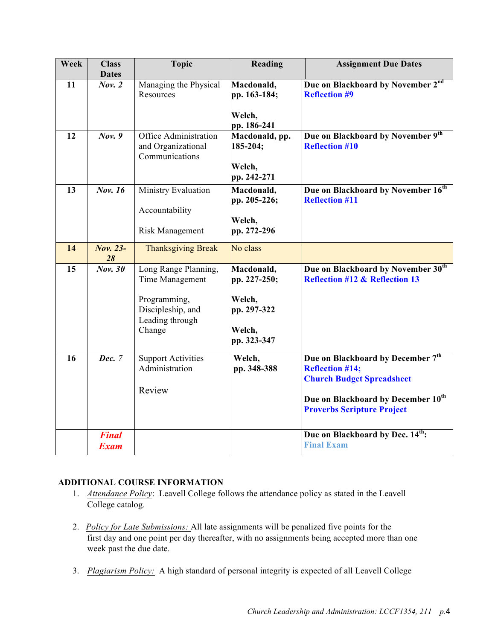| Week | <b>Class</b>                | <b>Topic</b>                                                                                              | Reading                                                                      | <b>Assignment Due Dates</b>                                                                                                                                                            |
|------|-----------------------------|-----------------------------------------------------------------------------------------------------------|------------------------------------------------------------------------------|----------------------------------------------------------------------------------------------------------------------------------------------------------------------------------------|
|      | <b>Dates</b>                |                                                                                                           |                                                                              |                                                                                                                                                                                        |
| 11   | Nov. 2                      | Managing the Physical<br>Resources                                                                        | Macdonald,<br>pp. 163-184;                                                   | Due on Blackboard by November 2nd<br><b>Reflection #9</b>                                                                                                                              |
|      |                             |                                                                                                           | Welch,<br>pp. 186-241                                                        |                                                                                                                                                                                        |
| 12   | Nov. 9                      | Office Administration<br>and Organizational<br>Communications                                             | Macdonald, pp.<br>185-204;<br>Welch,<br>pp. 242-271                          | Due on Blackboard by November 9th<br><b>Reflection #10</b>                                                                                                                             |
| 13   | Nov. 16                     | Ministry Evaluation<br>Accountability<br>Risk Management                                                  | Macdonald,<br>pp. 205-226;<br>Welch,<br>pp. 272-296                          | Due on Blackboard by November 16th<br><b>Reflection #11</b>                                                                                                                            |
| 14   | <b>Nov. 23-</b><br>28       | <b>Thanksgiving Break</b>                                                                                 | No class                                                                     |                                                                                                                                                                                        |
| 15   | <b>Nov. 30</b>              | Long Range Planning,<br>Time Management<br>Programming,<br>Discipleship, and<br>Leading through<br>Change | Macdonald,<br>pp. 227-250;<br>Welch,<br>pp. 297-322<br>Welch,<br>pp. 323-347 | Due on Blackboard by November 30th<br><b>Reflection #12 &amp; Reflection 13</b>                                                                                                        |
| 16   | Dec. 7                      | <b>Support Activities</b><br>Administration<br>Review                                                     | Welch,<br>pp. 348-388                                                        | Due on Blackboard by December 7th<br><b>Reflection #14;</b><br><b>Church Budget Spreadsheet</b><br>Due on Blackboard by December 10 <sup>th</sup><br><b>Proverbs Scripture Project</b> |
|      | <b>Final</b><br><b>Exam</b> |                                                                                                           |                                                                              | Due on Blackboard by Dec. 14 <sup>th</sup> :<br><b>Final Exam</b>                                                                                                                      |

# **ADDITIONAL COURSE INFORMATION**

- 1. *Attendance Policy*: Leavell College follows the attendance policy as stated in the Leavell College catalog.
- 2. *Policy for Late Submissions:* All late assignments will be penalized five points for the first day and one point per day thereafter, with no assignments being accepted more than one week past the due date.
- 3. *Plagiarism Policy:* A high standard of personal integrity is expected of all Leavell College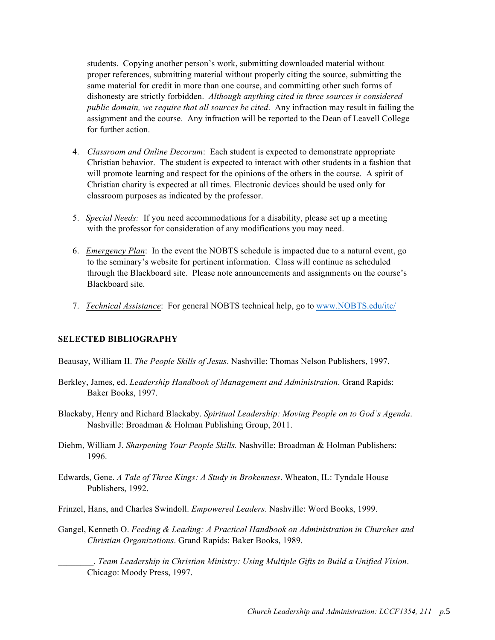students. Copying another person's work, submitting downloaded material without proper references, submitting material without properly citing the source, submitting the same material for credit in more than one course, and committing other such forms of dishonesty are strictly forbidden. *Although anything cited in three sources is considered public domain, we require that all sources be cited*. Any infraction may result in failing the assignment and the course. Any infraction will be reported to the Dean of Leavell College for further action.

- 4. *Classroom and Online Decorum*: Each student is expected to demonstrate appropriate Christian behavior. The student is expected to interact with other students in a fashion that will promote learning and respect for the opinions of the others in the course. A spirit of Christian charity is expected at all times. Electronic devices should be used only for classroom purposes as indicated by the professor.
- 5. *Special Needs:* If you need accommodations for a disability, please set up a meeting with the professor for consideration of any modifications you may need.
- 6. *Emergency Plan*: In the event the NOBTS schedule is impacted due to a natural event, go to the seminary's website for pertinent information. Class will continue as scheduled through the Blackboard site. Please note announcements and assignments on the course's Blackboard site.
- 7. *Technical Assistance*: For general NOBTS technical help, go to www.NOBTS.edu/itc/

#### **SELECTED BIBLIOGRAPHY**

Beausay, William II. *The People Skills of Jesus*. Nashville: Thomas Nelson Publishers, 1997.

- Berkley, James, ed. *Leadership Handbook of Management and Administration*. Grand Rapids: Baker Books, 1997.
- Blackaby, Henry and Richard Blackaby. *Spiritual Leadership: Moving People on to God's Agenda*. Nashville: Broadman & Holman Publishing Group, 2011.
- Diehm, William J. *Sharpening Your People Skills.* Nashville: Broadman & Holman Publishers: 1996.
- Edwards, Gene. *A Tale of Three Kings: A Study in Brokenness*. Wheaton, IL: Tyndale House Publishers, 1992.
- Frinzel, Hans, and Charles Swindoll. *Empowered Leaders*. Nashville: Word Books, 1999.
- Gangel, Kenneth O. *Feeding & Leading: A Practical Handbook on Administration in Churches and Christian Organizations*. Grand Rapids: Baker Books, 1989.

\_\_\_\_\_\_\_\_. *Team Leadership in Christian Ministry: Using Multiple Gifts to Build a Unified Vision*. Chicago: Moody Press, 1997.